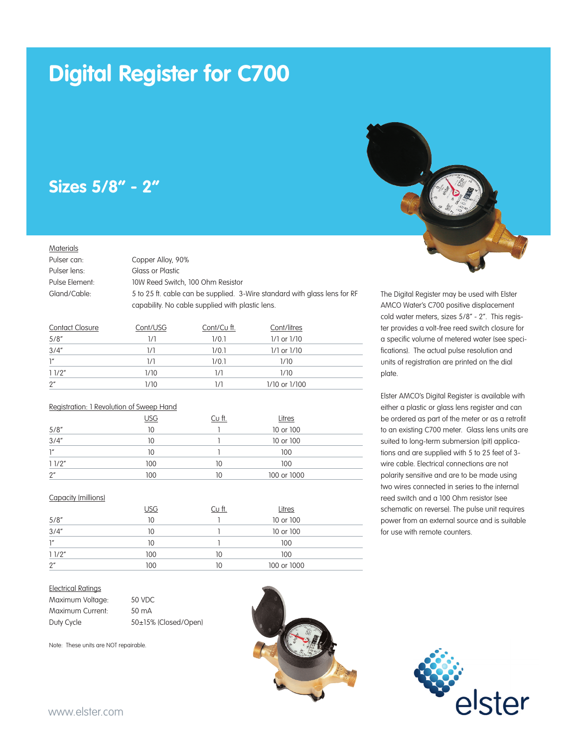# **Digital Register for C700**

## **Sizes 5/8" - 2"**

#### **Materials**

Pulser can: Copper Alloy, 90% Pulser lens: Glass or Plastic

Pulse Element: 10W Reed Switch, 100 Ohm Resistor

Gland/Cable: 5 to 25 ft. cable can be supplied. 3-Wire standard with glass lens for RF

capability. No cable supplied with plastic lens.

| <b>Contact Closure</b> | Cont/USG | Cont/Cu ft. | Cont/litres     |  |
|------------------------|----------|-------------|-----------------|--|
| 5/8''                  | 1/1      | 1/0.1       | $1/1$ or $1/10$ |  |
| 3/4''                  | 1/1      | 1/0.1       | $1/1$ or $1/10$ |  |
| $\mathsf{I}''$         | 1/1      | 1/0.1       | 1/10            |  |
| 11/2"                  | 1/10     | 1/1         | 1/10            |  |
| 2"                     | 1/10     | 1/1         | 1/10 or 1/100   |  |

#### Registration: 1 Revolution of Sweep Hand

|       | <u>USG</u> | Cu ft. | Litres      |  |
|-------|------------|--------|-------------|--|
| 5/8'' | 10         |        | 10 or 100   |  |
| 3/4'' | 10         |        | 10 or 100   |  |
| 1''   | 10         |        | 100         |  |
| 11/2" | 100        | 10     | 100         |  |
| 2"    | 100        | 10     | 100 or 1000 |  |

#### Capacity (millions)

|       | USG | $Cu$ ft. | Litres      |  |
|-------|-----|----------|-------------|--|
| 5/8'' | 10  |          | 10 or 100   |  |
| 3/4'' | 10  |          | 10 or 100   |  |
| 1''   | 10  |          | 100         |  |
| 11/2" | 100 | 10       | 100         |  |
| 2"    | 100 | 10       | 100 or 1000 |  |

#### Electrical Ratings

| Maximum Voltage: | 50 VDC               |
|------------------|----------------------|
| Maximum Current: | 50 mA                |
| Duty Cycle       | 50±15% (Closed/Open) |

Note: These units are NOT repairable.





The Digital Register may be used with Elster AMCO Water's C700 positive displacement cold water meters, sizes 5/8" - 2". This register provides a volt-free reed switch closure for a specific volume of metered water (see specifications). The actual pulse resolution and units of registration are printed on the dial plate.

Elster AMCO's Digital Register is available with either a plastic or glass lens register and can be ordered as part of the meter or as a retrofit to an existing C700 meter. Glass lens units are suited to long-term submersion (pit) applications and are supplied with 5 to 25 feet of 3 wire cable. Electrical connections are not polarity sensitive and are to be made using two wires connected in series to the internal reed switch and a 100 Ohm resistor (see schematic on reverse). The pulse unit requires power from an external source and is suitable for use with remote counters.